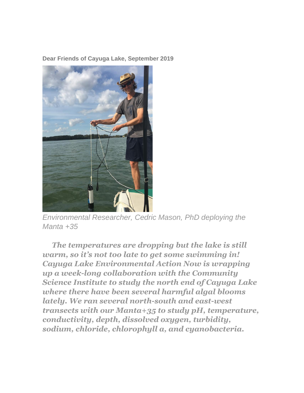**Dear Friends of Cayuga Lake, September 2019**



*Environmental Researcher, Cedric Mason, PhD deploying the Manta +35*

*The temperatures are dropping but the lake is still warm, so it's not too late to get some swimming in! Cayuga Lake Environmental Action Now is wrapping up a week-long collaboration with the Community Science Institute to study the north end of Cayuga Lake where there have been several harmful algal blooms lately. We ran several north-south and east-west transects with our Manta+35 to study pH, temperature, conductivity, depth, dissolved oxygen, turbidity, sodium, chloride, chlorophyll a, and cyanobacteria.*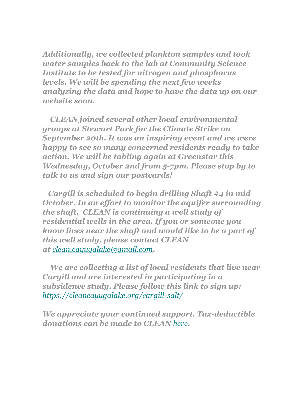*Additionally, we collected plankton samples and took water samples back to the lab at Community Science Institute to be tested for nitrogen and phosphorus levels. We will be spending the next few weeks analyzing the data and hope to have the data up on our website soon.*

*CLEAN joined several other local environmental groups at Stewart Park for the Climate Strike on September 20th. It was an inspiring event and we were happy to see so many concerned residents ready to take action. We will be tabling again at Greenstar this Wednesday, October 2nd from 5-7pm. Please stop by to talk to us and sign our postcards!*

*Cargill is scheduled to begin drilling Shaft #4 in mid-October. In an effort to monitor the aquifer surrounding the shaft, CLEAN is continuing a well study of residential wells in the area. If you or someone you know lives near the shaft and would like to be a part of this well study, please contact CLEAN at [clean.cayugalake@gmail.com](mailto:clean.cayugalake@gmail.com).*

*We are collecting a list of local residents that live near Cargill and are interested in participating in a subsidence study. Please follow this link to sign up: <https://cleancayugalake.org/cargill-salt/>*

*We appreciate your continued support. Tax-deductible donations can be made to CLEAN [here](http://cleancayugalake.org/donations/).*